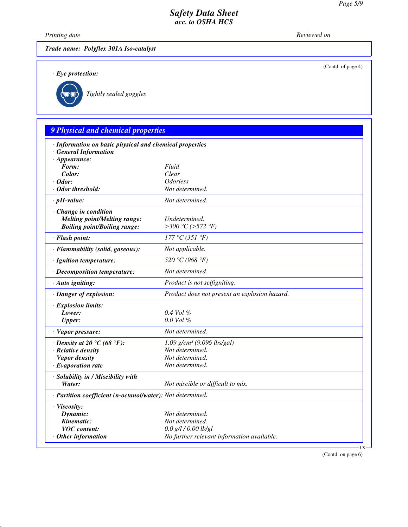(Contd. of page 4)

## *Safety Data Sheet acc. to OSHA HCS*

*Printing date Reviewed on* 

*Trade name: Polyflex 301A Iso-catalyst*

*· Eye protection:*



\_R*Tightly sealed goggles*

# *9 Physical and chemical properties · Information on basic physical and chemical properties · General Information · Appearance: Form: Fluid Color: Clear · Odor: Odorless · Odor threshold: Not determined. · pH-value: Not determined. · Change in condition Melting point/Melting range: Undetermined.*<br> *Boiling point/Boiling range:*  $>300 °C (>572 °F)$  $B\text{oiling point}/B\text{oiling range:}$ *· Flash point: 177 °C (351 °F) · Flammability (solid, gaseous): Not applicable. · Ignition temperature: 520 °C (968 °F) · Decomposition temperature: Not determined. · Auto igniting: Product is not selfigniting. · Danger of explosion: Product does not present an explosion hazard. · Explosion limits: Lower: 0.4 Vol % Upper: 0.0 Vol % · Vapor pressure: Not determined. · Density at 20 °C (68 °F): 1.09 g/cm³ (9.096 lbs/gal) · Relative density Not determined. · Vapor density Not determined. · Evaporation rate Not determined. · Solubility in / Miscibility with Water: Not miscible or difficult to mix. · Partition coefficient (n-octanol/water): Not determined. · Viscosity: Dynamic: Not determined. Kinematic: Not determined. VOC content: 0.0 g/l / 0.00 lb/gl · Other information No further relevant information available.*

(Contd. on page 6)

US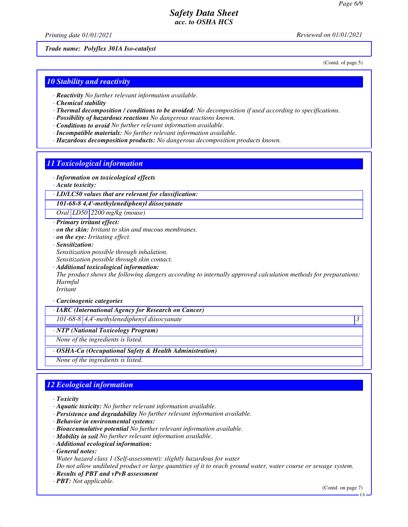## *Safety Data Sheet acc. to OSHA HCS*

*Printing date 01/01/2021 Reviewed on 01/01/2021*

*Trade name: Polyflex 301A Iso-catalyst*

(Contd. of page 5)

### *10 Stability and reactivity*

- *· Reactivity No further relevant information available.*
- *· Chemical stability*
- *· Thermal decomposition / conditions to be avoided: No decomposition if used according to specifications.*
- *· Possibility of hazardous reactions No dangerous reactions known.*
- *· Conditions to avoid No further relevant information available.*
- *· Incompatible materials: No further relevant information available.*
- *· Hazardous decomposition products: No dangerous decomposition products known.*

#### *11 Toxicological information*

- *· Information on toxicological effects*
- *· Acute toxicity:*
- *· LD/LC50 values that are relevant for classification:*

*101-68-8 4,4'-methylenediphenyl diisocyanate*

*Oral LD50 2200 mg/kg (mouse)*

- *· Primary irritant effect:*
- *· on the skin: Irritant to skin and mucous membranes.*
- *· on the eye: Irritating effect.*
- *· Sensitization: Sensitization possible through inhalation.*
- *Sensitization possible through skin contact.*
- *· Additional toxicological information:*

*The product shows the following dangers according to internally approved calculation methods for preparations: Harmful*

*Irritant*

#### *· Carcinogenic categories*

*· IARC (International Agency for Research on Cancer)*

*101-68-8 4,4'-methylenediphenyl diisocyanate 3* 

*· NTP (National Toxicology Program)*

*None of the ingredients is listed.*

*· OSHA-Ca (Occupational Safety & Health Administration)*

*None of the ingredients is listed.*

## *12 Ecological information*

- *· Toxicity*
- *· Aquatic toxicity: No further relevant information available.*
- *· Persistence and degradability No further relevant information available.*
- *· Behavior in environmental systems:*
- *· Bioaccumulative potential No further relevant information available.*
- *· Mobility in soil No further relevant information available.*
- *· Additional ecological information:*
- *· General notes:*
- *Water hazard class 1 (Self-assessment): slightly hazardous for water*

*Do not allow undiluted product or large quantities of it to reach ground water, water course or sewage system.*

- *· Results of PBT and vPvB assessment*
- *· PBT: Not applicable.*

(Contd. on page 7)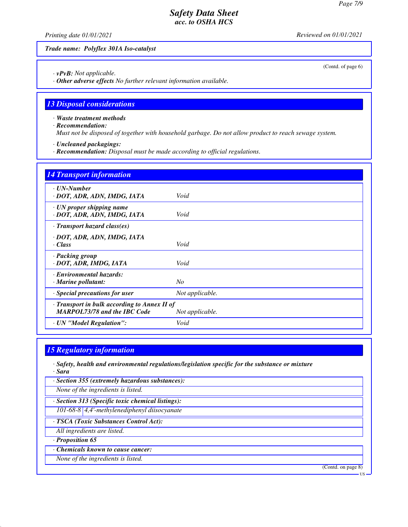(Contd. of page 6)

## *Safety Data Sheet acc. to OSHA HCS*

*Printing date 01/01/2021 Reviewed on 01/01/2021*

*Trade name: Polyflex 301A Iso-catalyst*

*· vPvB: Not applicable.*

*· Other adverse effects No further relevant information available.*

### *13 Disposal considerations*

*· Waste treatment methods*

*· Recommendation:*

*Must not be disposed of together with household garbage. Do not allow product to reach sewage system.*

*· Uncleaned packagings:*

*· Recommendation: Disposal must be made according to official regulations.*

| <b>14 Transport information</b>                                                     |                 |
|-------------------------------------------------------------------------------------|-----------------|
| $\cdot$ UN-Number<br>· DOT, ADR, ADN, IMDG, IATA                                    | Void            |
| · UN proper shipping name<br>· DOT, ADR, ADN, IMDG, IATA                            | Void            |
| $\cdot$ Transport hazard class(es)                                                  |                 |
| · DOT, ADR, ADN, IMDG, IATA<br>$\cdot$ Class                                        | Void            |
| · Packing group<br>· DOT, ADR, IMDG, IATA                                           | Void            |
| · Environmental hazards:<br>· Marine pollutant:                                     | No              |
| · Special precautions for user                                                      | Not applicable. |
| · Transport in bulk according to Annex II of<br><b>MARPOL73/78 and the IBC Code</b> | Not applicable. |
| · UN "Model Regulation":                                                            | Void            |

## *15 Regulatory information*

*· Safety, health and environmental regulations/legislation specific for the substance or mixture · Sara*

|  |  |  |  |  | · Section 355 (extremely hazardous substances): |
|--|--|--|--|--|-------------------------------------------------|
|--|--|--|--|--|-------------------------------------------------|

*None of the ingredients is listed.*

*· Section 313 (Specific toxic chemical listings):*

*101-68-8 4,4'-methylenediphenyl diisocyanate*

*· TSCA (Toxic Substances Control Act):*

- *All ingredients are listed.*
- *· Proposition 65*

*· Chemicals known to cause cancer:*

*None of the ingredients is listed.*

(Contd. on page 8)

US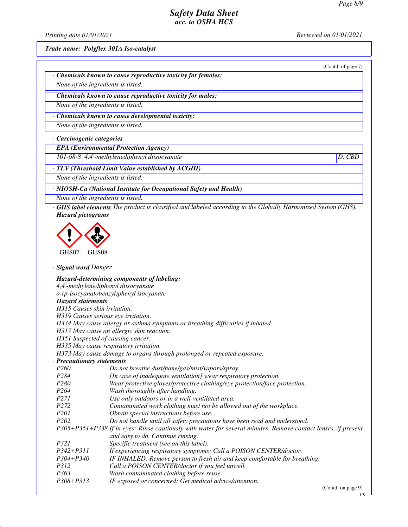## *Safety Data Sheet acc. to OSHA HCS*

*Printing date 01/01/2021 Reviewed on 01/01/2021*

(Contd. of page 7)

*Trade name: Polyflex 301A Iso-catalyst*

| Chemicals known to cause reproductive toxicity for females: |  |  |
|-------------------------------------------------------------|--|--|
|-------------------------------------------------------------|--|--|

*None of the ingredients is listed.*

*· Chemicals known to cause reproductive toxicity for males:*

*None of the ingredients is listed.*

*· Chemicals known to cause developmental toxicity:*

*None of the ingredients is listed.*

*· Carcinogenic categories*

*· EPA (Environmental Protection Agency)*

*101-68-8 4,4'-methylenediphenyl diisocyanate D, CBD*

*· TLV (Threshold Limit Value established by ACGIH)*

*None of the ingredients is listed.*

*· NIOSH-Ca (National Institute for Occupational Safety and Health)*

*None of the ingredients is listed.*

*· GHS label elements The product is classified and labeled according to the Globally Harmonized System (GHS). · Hazard pictograms*



*· Signal word Danger*

|                                     | · Hazard-determining components of labeling:                                                                  |
|-------------------------------------|---------------------------------------------------------------------------------------------------------------|
| 4,4'-methylenediphenyl diisocyanate |                                                                                                               |
|                                     | o-(p-isocyanatobenzyl)phenyl isocyanate                                                                       |
| · Hazard statements                 |                                                                                                               |
| H315 Causes skin irritation.        |                                                                                                               |
| H319 Causes serious eye irritation. |                                                                                                               |
|                                     | H334 May cause allergy or asthma symptoms or breathing difficulties if inhaled.                               |
|                                     | H317 May cause an allergic skin reaction.                                                                     |
| H351 Suspected of causing cancer.   |                                                                                                               |
|                                     | H335 May cause respiratory irritation.                                                                        |
|                                     | H373 May cause damage to organs through prolonged or repeated exposure.                                       |
| · Precautionary statements          |                                                                                                               |
| P <sub>260</sub>                    | Do not breathe dust/fume/gas/mist/vapors/spray.                                                               |
| P <sub>284</sub>                    | [In case of inadequate ventilation] wear respiratory protection.                                              |
| P <sub>280</sub>                    | Wear protective gloves/protective clothing/eye protection/face protection.                                    |
| P <sub>264</sub>                    | Wash thoroughly after handling.                                                                               |
| <i>P271</i>                         | Use only outdoors or in a well-ventilated area.                                                               |
| P <sub>272</sub>                    | Contaminated work clothing must not be allowed out of the workplace.                                          |
| P <sub>201</sub>                    | Obtain special instructions before use.                                                                       |
| P <sub>202</sub>                    | Do not handle until all safety precautions have been read and understood.                                     |
|                                     | P305+P351+P338 If in eyes: Rinse cautiously with water for several minutes. Remove contact lenses, if present |
|                                     | and easy to do. Continue rinsing.                                                                             |
| P321                                | Specific treatment (see on this label).                                                                       |
| $P342 + P311$                       | If experiencing respiratory symptoms: Call a POISON CENTER/doctor.                                            |
| $P304 + P340$                       | IF INHALED: Remove person to fresh air and keep comfortable for breathing.                                    |
| <i>P312</i>                         | Call a POISON CENTER/doctor if you feel unwell.                                                               |
| P <sub>363</sub>                    | Wash contaminated clothing before reuse.                                                                      |
| P308+P313                           | IF exposed or concerned: Get medical advice/attention.                                                        |

(Contd. on page 9)

US